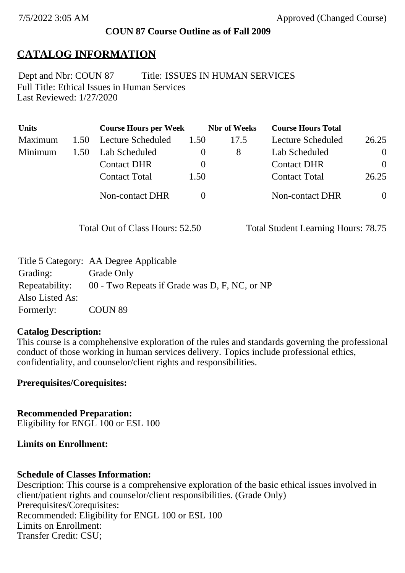#### **COUN 87 Course Outline as of Fall 2009**

# **CATALOG INFORMATION**

Full Title: Ethical Issues in Human Services Last Reviewed: 1/27/2020 Dept and Nbr: COUN 87 Title: ISSUES IN HUMAN SERVICES

| <b>Units</b> |      | <b>Course Hours per Week</b> |          | <b>Nbr</b> of Weeks | <b>Course Hours Total</b> |          |
|--------------|------|------------------------------|----------|---------------------|---------------------------|----------|
| Maximum      | 1.50 | Lecture Scheduled            | 1.50     | 17.5                | Lecture Scheduled         | 26.25    |
| Minimum      | 1.50 | Lab Scheduled                |          | 8                   | Lab Scheduled             | $\theta$ |
|              |      | <b>Contact DHR</b>           | $\theta$ |                     | <b>Contact DHR</b>        | $\Omega$ |
|              |      | <b>Contact Total</b>         | 1.50     |                     | <b>Contact Total</b>      | 26.25    |
|              |      | Non-contact DHR              |          |                     | <b>Non-contact DHR</b>    | $\theta$ |

Total Out of Class Hours: 52.50 Total Student Learning Hours: 78.75

|                 | Title 5 Category: AA Degree Applicable        |
|-----------------|-----------------------------------------------|
| Grading:        | Grade Only                                    |
| Repeatability:  | 00 - Two Repeats if Grade was D, F, NC, or NP |
| Also Listed As: |                                               |
| Formerly:       | COUN <sub>89</sub>                            |

#### **Catalog Description:**

This course is a comphehensive exploration of the rules and standards governing the professional conduct of those working in human services delivery. Topics include professional ethics, confidentiality, and counselor/client rights and responsibilities.

**Prerequisites/Corequisites:**

**Recommended Preparation:** Eligibility for ENGL 100 or ESL 100

**Limits on Enrollment:**

#### **Schedule of Classes Information:**

Description: This course is a comprehensive exploration of the basic ethical issues involved in client/patient rights and counselor/client responsibilities. (Grade Only) Prerequisites/Corequisites: Recommended: Eligibility for ENGL 100 or ESL 100 Limits on Enrollment: Transfer Credit: CSU;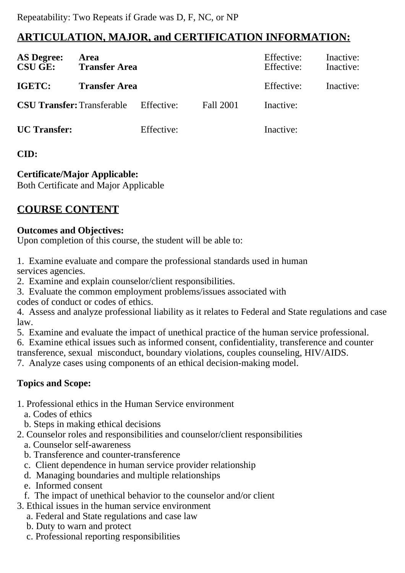# **ARTICULATION, MAJOR, and CERTIFICATION INFORMATION:**

| <b>AS Degree:</b><br><b>CSU GE:</b> | Area<br><b>Transfer Area</b>                 |            |           | Effective:<br>Effective: | Inactive:<br>Inactive: |
|-------------------------------------|----------------------------------------------|------------|-----------|--------------------------|------------------------|
| IGETC:                              | <b>Transfer Area</b>                         |            |           | Effective:               | Inactive:              |
|                                     | <b>CSU Transfer:</b> Transferable Effective: |            | Fall 2001 | Inactive:                |                        |
| <b>UC</b> Transfer:                 |                                              | Effective: |           | Inactive:                |                        |

### **CID:**

## **Certificate/Major Applicable:**

[Both Certificate and Major Applicable](SR_ClassCheck.aspx?CourseKey=COUN87)

# **COURSE CONTENT**

### **Outcomes and Objectives:**

Upon completion of this course, the student will be able to:

1. Examine evaluate and compare the professional standards used in human services agencies.

2. Examine and explain counselor/client responsibilities.

3. Evaluate the common employment problems/issues associated with codes of conduct or codes of ethics.

4. Assess and analyze professional liability as it relates to Federal and State regulations and case law.

5. Examine and evaluate the impact of unethical practice of the human service professional.

6. Examine ethical issues such as informed consent, confidentiality, transference and counter

transference, sexual misconduct, boundary violations, couples counseling, HIV/AIDS.

7. Analyze cases using components of an ethical decision-making model.

# **Topics and Scope:**

1. Professional ethics in the Human Service environment

a. Codes of ethics

- b. Steps in making ethical decisions
- 2. Counselor roles and responsibilities and counselor/client responsibilities
	- a. Counselor self-awareness
	- b. Transference and counter-transference
	- c. Client dependence in human service provider relationship
	- d. Managing boundaries and multiple relationships
	- e. Informed consent
	- f. The impact of unethical behavior to the counselor and/or client
- 3. Ethical issues in the human service environment
	- a. Federal and State regulations and case law
	- b. Duty to warn and protect
	- c. Professional reporting responsibilities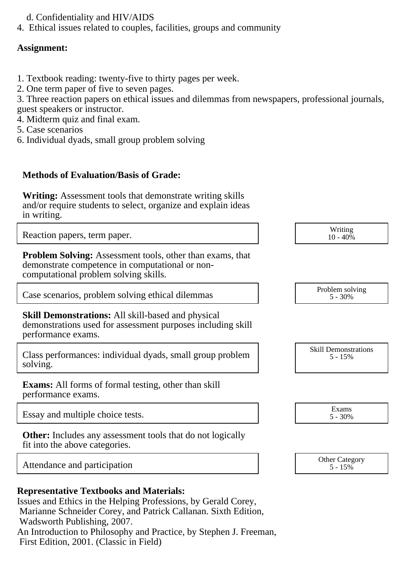- d. Confidentiality and HIV/AIDS
- 4. Ethical issues related to couples, facilities, groups and community

### **Assignment:**

- 1. Textbook reading: twenty-five to thirty pages per week.
- 2. One term paper of five to seven pages.

3. Three reaction papers on ethical issues and dilemmas from newspapers, professional journals, guest speakers or instructor.

- 4. Midterm quiz and final exam.
- 5. Case scenarios
- 6. Individual dyads, small group problem solving

### **Methods of Evaluation/Basis of Grade:**

**Writing:** Assessment tools that demonstrate writing skills and/or require students to select, organize and explain ideas in writing.

Reaction papers, term paper. Notice that the set of the set of the set of the set of the set of the set of the set of the set of the set of the set of the set of the set of the set of the set of the set of the set of the s

**Problem Solving:** Assessment tools, other than exams, that demonstrate competence in computational or noncomputational problem solving skills.

Case scenarios, problem solving ethical dilemmas Problem solving  $\sim$  Problem solving

**Skill Demonstrations:** All skill-based and physical demonstrations used for assessment purposes including skill performance exams.

Class performances: individual dyads, small group problem solving.

**Exams:** All forms of formal testing, other than skill performance exams.

Essay and multiple choice tests. Exams Exams Exams 5 - 30%

**Other:** Includes any assessment tools that do not logically fit into the above categories.

Attendance and participation and the Category of the Category of the Category of the Category of the Category

| <b>Representative Textbooks and Materials:</b> |  |  |  |
|------------------------------------------------|--|--|--|
|------------------------------------------------|--|--|--|

Issues and Ethics in the Helping Professions, by Gerald Corey, Marianne Schneider Corey, and Patrick Callanan. Sixth Edition, Wadsworth Publishing, 2007. An Introduction to Philosophy and Practice, by Stephen J. Freeman, First Edition, 2001. (Classic in Field)

 $10 - 40\%$ 

5 - 30%

Skill Demonstrations 5 - 15%

5 - 30%

 $5 - 15\%$